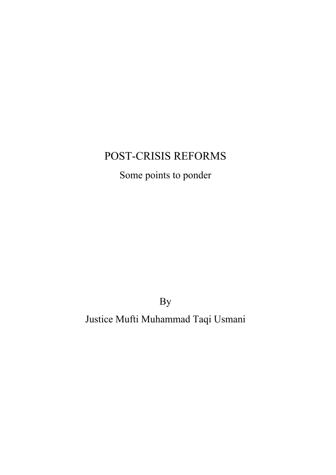## POST-CRISIS REFORMS

# Some points to ponder

By

Justice Mufti Muhammad Taqi Usmani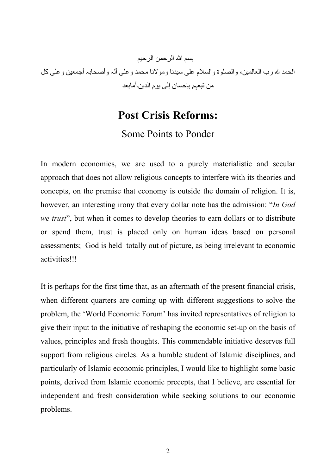بسم االله الرحمن الرحیم الحمد الله رب العالمین، والصلوة والسلام علی سیدنا ومولانا محمد وعلی آلہ وأصحابہ أجمعین وعلی كل من تبعہم بإحسان إلی یوم الدین۔أمابعد

### **Post Crisis Reforms:**

### Some Points to Ponder

In modern economics, we are used to a purely materialistic and secular approach that does not allow religious concepts to interfere with its theories and concepts, on the premise that economy is outside the domain of religion. It is, however, an interesting irony that every dollar note has the admission: "*In God we trust*", but when it comes to develop theories to earn dollars or to distribute or spend them, trust is placed only on human ideas based on personal assessments; God is held totally out of picture, as being irrelevant to economic activities!!!

It is perhaps for the first time that, as an aftermath of the present financial crisis, when different quarters are coming up with different suggestions to solve the problem, the 'World Economic Forum' has invited representatives of religion to give their input to the initiative of reshaping the economic set-up on the basis of values, principles and fresh thoughts. This commendable initiative deserves full support from religious circles. As a humble student of Islamic disciplines, and particularly of Islamic economic principles, I would like to highlight some basic points, derived from Islamic economic precepts, that I believe, are essential for independent and fresh consideration while seeking solutions to our economic problems.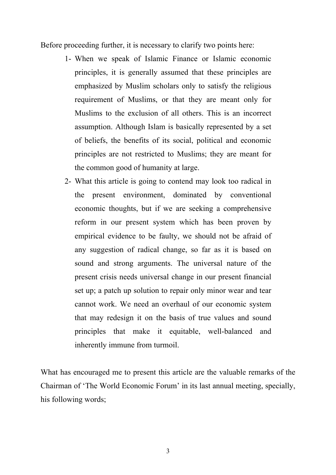Before proceeding further, it is necessary to clarify two points here:

- 1- When we speak of Islamic Finance or Islamic economic principles, it is generally assumed that these principles are emphasized by Muslim scholars only to satisfy the religious requirement of Muslims, or that they are meant only for Muslims to the exclusion of all others. This is an incorrect assumption. Although Islam is basically represented by a set of beliefs, the benefits of its social, political and economic principles are not restricted to Muslims; they are meant for the common good of humanity at large.
- 2- What this article is going to contend may look too radical in the present environment, dominated by conventional economic thoughts, but if we are seeking a comprehensive reform in our present system which has been proven by empirical evidence to be faulty, we should not be afraid of any suggestion of radical change, so far as it is based on sound and strong arguments. The universal nature of the present crisis needs universal change in our present financial set up; a patch up solution to repair only minor wear and tear cannot work. We need an overhaul of our economic system that may redesign it on the basis of true values and sound principles that make it equitable, well-balanced and inherently immune from turmoil.

What has encouraged me to present this article are the valuable remarks of the Chairman of 'The World Economic Forum' in its last annual meeting, specially, his following words;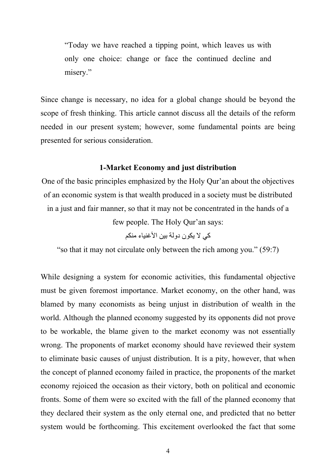"Today we have reached a tipping point, which leaves us with only one choice: change or face the continued decline and misery."

Since change is necessary, no idea for a global change should be beyond the scope of fresh thinking. This article cannot discuss all the details of the reform needed in our present system; however, some fundamental points are being presented for serious consideration.

#### **1-Market Economy and just distribution**

One of the basic principles emphasized by the Holy Qur'an about the objectives of an economic system is that wealth produced in a society must be distributed in a just and fair manner, so that it may not be concentrated in the hands of a

few people. The Holy Qur'an says:

كي لا یكون دولة بین الأغنیاء منكم

"so that it may not circulate only between the rich among you." (59:7)

While designing a system for economic activities, this fundamental objective must be given foremost importance. Market economy, on the other hand, was blamed by many economists as being unjust in distribution of wealth in the world. Although the planned economy suggested by its opponents did not prove to be workable, the blame given to the market economy was not essentially wrong. The proponents of market economy should have reviewed their system to eliminate basic causes of unjust distribution. It is a pity, however, that when the concept of planned economy failed in practice, the proponents of the market economy rejoiced the occasion as their victory, both on political and economic fronts. Some of them were so excited with the fall of the planned economy that they declared their system as the only eternal one, and predicted that no better system would be forthcoming. This excitement overlooked the fact that some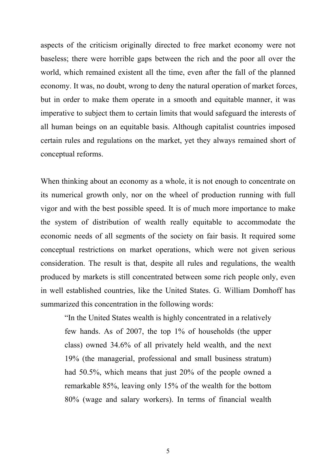aspects of the criticism originally directed to free market economy were not baseless; there were horrible gaps between the rich and the poor all over the world, which remained existent all the time, even after the fall of the planned economy. It was, no doubt, wrong to deny the natural operation of market forces, but in order to make them operate in a smooth and equitable manner, it was imperative to subject them to certain limits that would safeguard the interests of all human beings on an equitable basis. Although capitalist countries imposed certain rules and regulations on the market, yet they always remained short of conceptual reforms.

When thinking about an economy as a whole, it is not enough to concentrate on its numerical growth only, nor on the wheel of production running with full vigor and with the best possible speed. It is of much more importance to make the system of distribution of wealth really equitable to accommodate the economic needs of all segments of the society on fair basis. It required some conceptual restrictions on market operations, which were not given serious consideration. The result is that, despite all rules and regulations, the wealth produced by markets is still concentrated between some rich people only, even in well established countries, like the United States. G. William Domhoff has summarized this concentration in the following words:

"In the United States wealth is highly concentrated in a relatively few hands. As of 2007, the top 1% of households (the upper class) owned 34.6% of all privately held wealth, and the next 19% (the managerial, professional and small business stratum) had 50.5%, which means that just 20% of the people owned a remarkable 85%, leaving only 15% of the wealth for the bottom 80% (wage and salary workers). In terms of financial wealth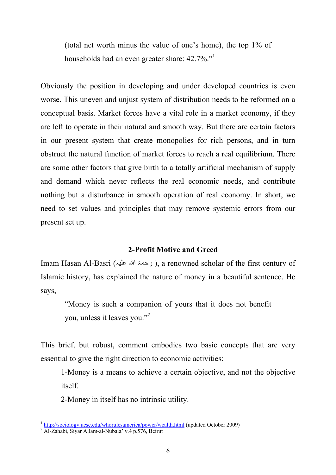(total net worth minus the value of one's home), the top 1% of households had an even greater share: 42.7%."

Obviously the position in developing and under developed countries is even worse. This uneven and unjust system of distribution needs to be reformed on a conceptual basis. Market forces have a vital role in a market economy, if they are left to operate in their natural and smooth way. But there are certain factors in our present system that create monopolies for rich persons, and in turn obstruct the natural function of market forces to reach a real equilibrium. There are some other factors that give birth to a totally artificial mechanism of supply and demand which never reflects the real economic needs, and contribute nothing but a disturbance in smooth operation of real economy. In short, we need to set values and principles that may remove systemic errors from our present set up.

#### **2-Profit Motive and Greed**

Imam Hasan Al-Basri (رحمۃ الله علیہ), a renowned scholar of the first century of Islamic history, has explained the nature of money in a beautiful sentence. He says,

"Money is such a companion of yours that it does not benefit you, unless it leaves you."<sup>2</sup>

This brief, but robust, comment embodies two basic concepts that are very essential to give the right direction to economic activities:

1-Money is a means to achieve a certain objective, and not the objective itself.

2-Money in itself has no intrinsic utility.

<sup>&</sup>lt;sup>1</sup> http://sociology.ucsc.edu/whorulesamerica/power/wealth.html (updated October 2009)

 $2$  Al-Zahabi, Siyar A;lam-al-Nubala' v.4 p.576, Beirut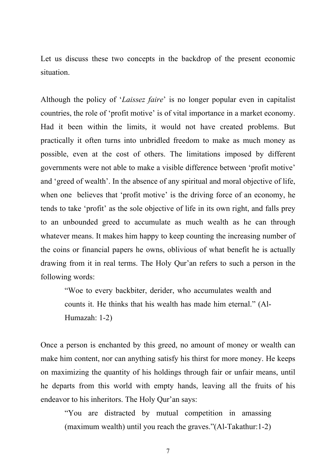Let us discuss these two concepts in the backdrop of the present economic situation.

Although the policy of '*Laissez faire*' is no longer popular even in capitalist countries, the role of 'profit motive' is of vital importance in a market economy. Had it been within the limits, it would not have created problems. But practically it often turns into unbridled freedom to make as much money as possible, even at the cost of others. The limitations imposed by different governments were not able to make a visible difference between 'profit motive' and 'greed of wealth'. In the absence of any spiritual and moral objective of life, when one believes that 'profit motive' is the driving force of an economy, he tends to take 'profit' as the sole objective of life in its own right, and falls prey to an unbounded greed to accumulate as much wealth as he can through whatever means. It makes him happy to keep counting the increasing number of the coins or financial papers he owns, oblivious of what benefit he is actually drawing from it in real terms. The Holy Qur'an refers to such a person in the following words:

"Woe to every backbiter, derider, who accumulates wealth and counts it. He thinks that his wealth has made him eternal." (Al-Humazah: 1-2)

Once a person is enchanted by this greed, no amount of money or wealth can make him content, nor can anything satisfy his thirst for more money. He keeps on maximizing the quantity of his holdings through fair or unfair means, until he departs from this world with empty hands, leaving all the fruits of his endeavor to his inheritors. The Holy Qur'an says:

"You are distracted by mutual competition in amassing (maximum wealth) until you reach the graves."(Al-Takathur:1-2)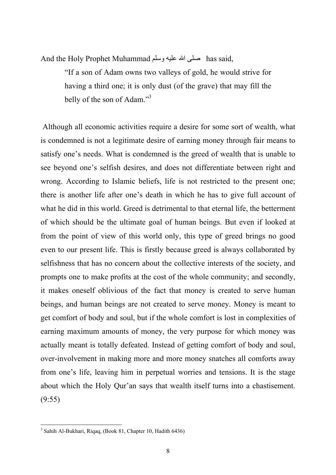And the Holy Prophet Muhammad وسلم علیھ االله صلى has said,

"If a son of Adam owns two valleys of gold, he would strive for having a third one; it is only dust (of the grave) that may fill the belly of the son of Adam."<sup>3</sup>

Although all economic activities require a desire for some sort of wealth, what is condemned is not a legitimate desire of earning money through fair means to satisfy one's needs. What is condemned is the greed of wealth that is unable to see beyond one's selfish desires, and does not differentiate between right and wrong. According to Islamic beliefs, life is not restricted to the present one; there is another life after one's death in which he has to give full account of what he did in this world. Greed is detrimental to that eternal life, the betterment of which should be the ultimate goal of human beings. But even if looked at from the point of view of this world only, this type of greed brings no good even to our present life. This is firstly because greed is always collaborated by selfishness that has no concern about the collective interests of the society, and prompts one to make profits at the cost of the whole community; and secondly, it makes oneself oblivious of the fact that money is created to serve human beings, and human beings are not created to serve money. Money is meant to get comfort of body and soul, but if the whole comfort is lost in complexities of earning maximum amounts of money, the very purpose for which money was actually meant is totally defeated. Instead of getting comfort of body and soul, over-involvement in making more and more money snatches all comforts away from one's life, leaving him in perpetual worries and tensions. It is the stage about which the Holy Qur'an says that wealth itself turns into a chastisement. (9:55)

<sup>3</sup> Sahih Al-Bukhari, Riqaq, (Book 81, Chapter 10, Hadith 6436)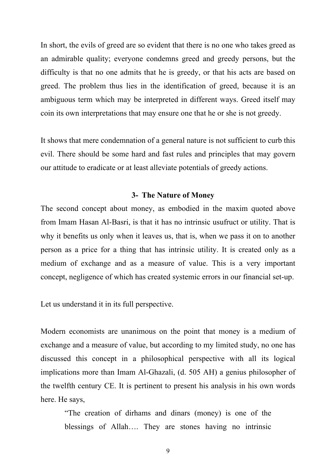In short, the evils of greed are so evident that there is no one who takes greed as an admirable quality; everyone condemns greed and greedy persons, but the difficulty is that no one admits that he is greedy, or that his acts are based on greed. The problem thus lies in the identification of greed, because it is an ambiguous term which may be interpreted in different ways. Greed itself may coin its own interpretations that may ensure one that he or she is not greedy.

It shows that mere condemnation of a general nature is not sufficient to curb this evil. There should be some hard and fast rules and principles that may govern our attitude to eradicate or at least alleviate potentials of greedy actions.

#### **3- The Nature of Money**

The second concept about money, as embodied in the maxim quoted above from Imam Hasan Al-Basri, is that it has no intrinsic usufruct or utility. That is why it benefits us only when it leaves us, that is, when we pass it on to another person as a price for a thing that has intrinsic utility. It is created only as a medium of exchange and as a measure of value. This is a very important concept, negligence of which has created systemic errors in our financial set-up.

Let us understand it in its full perspective.

Modern economists are unanimous on the point that money is a medium of exchange and a measure of value, but according to my limited study, no one has discussed this concept in a philosophical perspective with all its logical implications more than Imam Al-Ghazali, (d. 505 AH) a genius philosopher of the twelfth century CE. It is pertinent to present his analysis in his own words here. He says,

"The creation of dirhams and dinars (money) is one of the blessings of Allah…. They are stones having no intrinsic

9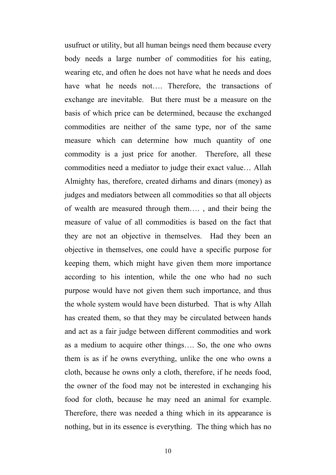usufruct or utility, but all human beings need them because every body needs a large number of commodities for his eating, wearing etc, and often he does not have what he needs and does have what he needs not.... Therefore, the transactions of exchange are inevitable. But there must be a measure on the basis of which price can be determined, because the exchanged commodities are neither of the same type, nor of the same measure which can determine how much quantity of one commodity is a just price for another. Therefore, all these commodities need a mediator to judge their exact value… Allah Almighty has, therefore, created dirhams and dinars (money) as judges and mediators between all commodities so that all objects of wealth are measured through them…. , and their being the measure of value of all commodities is based on the fact that they are not an objective in themselves. Had they been an objective in themselves, one could have a specific purpose for keeping them, which might have given them more importance according to his intention, while the one who had no such purpose would have not given them such importance, and thus the whole system would have been disturbed. That is why Allah has created them, so that they may be circulated between hands and act as a fair judge between different commodities and work as a medium to acquire other things…. So, the one who owns them is as if he owns everything, unlike the one who owns a cloth, because he owns only a cloth, therefore, if he needs food, the owner of the food may not be interested in exchanging his food for cloth, because he may need an animal for example. Therefore, there was needed a thing which in its appearance is nothing, but in its essence is everything. The thing which has no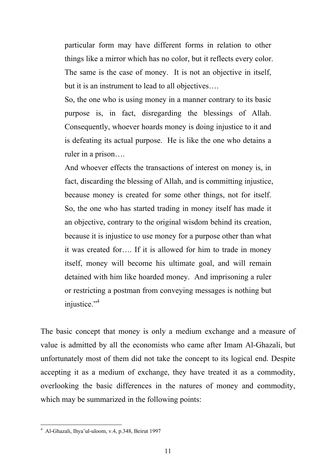particular form may have different forms in relation to other things like a mirror which has no color, but it reflects every color. The same is the case of money. It is not an objective in itself, but it is an instrument to lead to all objectives….

So, the one who is using money in a manner contrary to its basic purpose is, in fact, disregarding the blessings of Allah. Consequently, whoever hoards money is doing injustice to it and is defeating its actual purpose. He is like the one who detains a ruler in a prison….

And whoever effects the transactions of interest on money is, in fact, discarding the blessing of Allah, and is committing injustice, because money is created for some other things, not for itself. So, the one who has started trading in money itself has made it an objective, contrary to the original wisdom behind its creation, because it is injustice to use money for a purpose other than what it was created for…. If it is allowed for him to trade in money itself, money will become his ultimate goal, and will remain detained with him like hoarded money. And imprisoning a ruler or restricting a postman from conveying messages is nothing but injustice."<sup>4</sup>

The basic concept that money is only a medium exchange and a measure of value is admitted by all the economists who came after Imam Al-Ghazali, but unfortunately most of them did not take the concept to its logical end. Despite accepting it as a medium of exchange, they have treated it as a commodity, overlooking the basic differences in the natures of money and commodity, which may be summarized in the following points:

<sup>4</sup> Al-Ghazali, Ihya'ul-uloom, v.4, p.348, Beirut 1997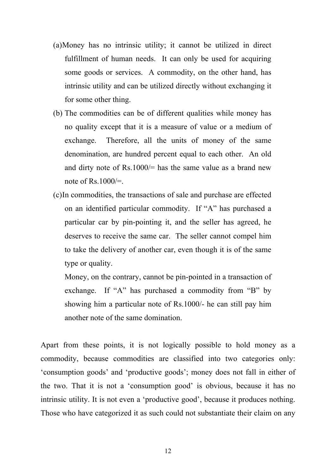- (a)Money has no intrinsic utility; it cannot be utilized in direct fulfillment of human needs. It can only be used for acquiring some goods or services. A commodity, on the other hand, has intrinsic utility and can be utilized directly without exchanging it for some other thing.
- (b) The commodities can be of different qualities while money has no quality except that it is a measure of value or a medium of exchange. Therefore, all the units of money of the same denomination, are hundred percent equal to each other. An old and dirty note of Rs.1000/= has the same value as a brand new note of Rs.1000 $/=$ .
- (c)In commodities, the transactions of sale and purchase are effected on an identified particular commodity. If "A" has purchased a particular car by pin-pointing it, and the seller has agreed, he deserves to receive the same car. The seller cannot compel him to take the delivery of another car, even though it is of the same type or quality.

Money, on the contrary, cannot be pin-pointed in a transaction of exchange. If "A" has purchased a commodity from "B" by showing him a particular note of Rs.1000/- he can still pay him another note of the same domination.

Apart from these points, it is not logically possible to hold money as a commodity, because commodities are classified into two categories only: 'consumption goods' and 'productive goods'; money does not fall in either of the two. That it is not a 'consumption good' is obvious, because it has no intrinsic utility. It is not even a 'productive good', because it produces nothing. Those who have categorized it as such could not substantiate their claim on any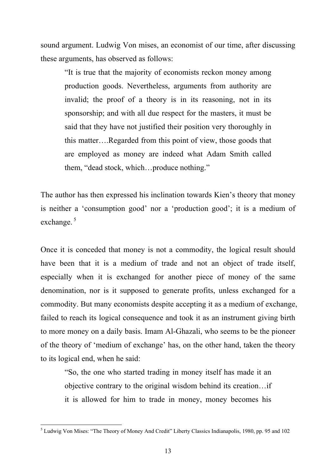sound argument. Ludwig Von mises, an economist of our time, after discussing these arguments, has observed as follows:

"It is true that the majority of economists reckon money among production goods. Nevertheless, arguments from authority are invalid; the proof of a theory is in its reasoning, not in its sponsorship; and with all due respect for the masters, it must be said that they have not justified their position very thoroughly in this matter….Regarded from this point of view, those goods that are employed as money are indeed what Adam Smith called them, "dead stock, which…produce nothing."

The author has then expressed his inclination towards Kien's theory that money is neither a 'consumption good' nor a 'production good'; it is a medium of exchange.<sup>5</sup>

Once it is conceded that money is not a commodity, the logical result should have been that it is a medium of trade and not an object of trade itself, especially when it is exchanged for another piece of money of the same denomination, nor is it supposed to generate profits, unless exchanged for a commodity. But many economists despite accepting it as a medium of exchange, failed to reach its logical consequence and took it as an instrument giving birth to more money on a daily basis. Imam Al-Ghazali, who seems to be the pioneer of the theory of 'medium of exchange' has, on the other hand, taken the theory to its logical end, when he said:

"So, the one who started trading in money itself has made it an objective contrary to the original wisdom behind its creation…if it is allowed for him to trade in money, money becomes his

<sup>5</sup> Ludwig Von Mises: "The Theory of Money And Credit" Liberty Classics Indianapolis, 1980, pp. 95 and 102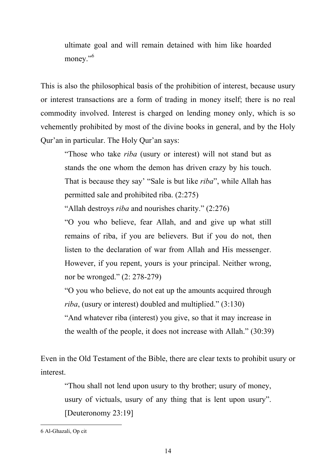ultimate goal and will remain detained with him like hoarded money."<sup>6</sup>

This is also the philosophical basis of the prohibition of interest, because usury or interest transactions are a form of trading in money itself; there is no real commodity involved. Interest is charged on lending money only, which is so vehemently prohibited by most of the divine books in general, and by the Holy Qur'an in particular. The Holy Qur'an says:

"Those who take *riba* (usury or interest) will not stand but as stands the one whom the demon has driven crazy by his touch. That is because they say' "Sale is but like *riba*", while Allah has permitted sale and prohibited riba. (2:275)

"Allah destroys *riba* and nourishes charity." (2:276)

"O you who believe, fear Allah, and and give up what still remains of riba, if you are believers. But if you do not, then listen to the declaration of war from Allah and His messenger. However, if you repent, yours is your principal. Neither wrong, nor be wronged." (2: 278-279)

"O you who believe, do not eat up the amounts acquired through *riba*, (usury or interest) doubled and multiplied." (3:130)

"And whatever riba (interest) you give, so that it may increase in the wealth of the people, it does not increase with Allah." (30:39)

Even in the Old Testament of the Bible, there are clear texts to prohibit usury or interest.

"Thou shall not lend upon usury to thy brother; usury of money, usury of victuals, usury of any thing that is lent upon usury". [Deuteronomy 23:19]

<sup>6</sup> Al-Ghazali, Op cit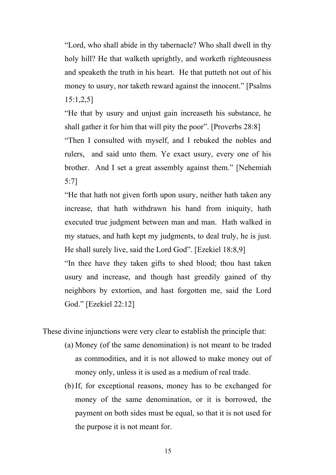"Lord, who shall abide in thy tabernacle? Who shall dwell in thy holy hill? He that walketh uprightly, and worketh righteousness and speaketh the truth in his heart. He that putteth not out of his money to usury, nor taketh reward against the innocent." [Psalms 15:1,2,5]

"He that by usury and unjust gain increaseth his substance, he shall gather it for him that will pity the poor". [Proverbs 28:8]

"Then I consulted with myself, and I rebuked the nobles and rulers, and said unto them. Ye exact usury, every one of his brother. And I set a great assembly against them." [Nehemiah 5:7]

"He that hath not given forth upon usury, neither hath taken any increase, that hath withdrawn his hand from iniquity, hath executed true judgment between man and man. Hath walked in my statues, and hath kept my judgments, to deal truly, he is just. He shall surely live, said the Lord God". [Ezekiel 18:8,9]

"In thee have they taken gifts to shed blood; thou hast taken usury and increase, and though hast greedily gained of thy neighbors by extortion, and hast forgotten me, said the Lord God." [Ezekiel 22:12]

These divine injunctions were very clear to establish the principle that:

- (a) Money (of the same denomination) is not meant to be traded as commodities, and it is not allowed to make money out of money only, unless it is used as a medium of real trade.
- (b) If, for exceptional reasons, money has to be exchanged for money of the same denomination, or it is borrowed, the payment on both sides must be equal, so that it is not used for the purpose it is not meant for.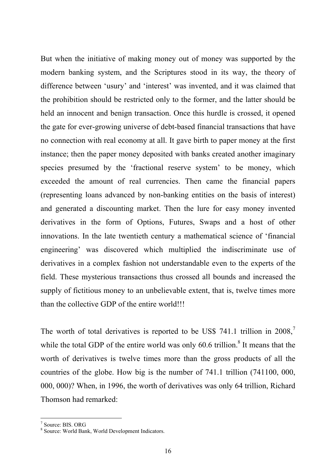But when the initiative of making money out of money was supported by the modern banking system, and the Scriptures stood in its way, the theory of difference between 'usury' and 'interest' was invented, and it was claimed that the prohibition should be restricted only to the former, and the latter should be held an innocent and benign transaction. Once this hurdle is crossed, it opened the gate for ever-growing universe of debt-based financial transactions that have no connection with real economy at all. It gave birth to paper money at the first instance; then the paper money deposited with banks created another imaginary species presumed by the 'fractional reserve system' to be money, which exceeded the amount of real currencies. Then came the financial papers (representing loans advanced by non-banking entities on the basis of interest) and generated a discounting market. Then the lure for easy money invented derivatives in the form of Options, Futures, Swaps and a host of other innovations. In the late twentieth century a mathematical science of 'financial engineering' was discovered which multiplied the indiscriminate use of derivatives in a complex fashion not understandable even to the experts of the field. These mysterious transactions thus crossed all bounds and increased the supply of fictitious money to an unbelievable extent, that is, twelve times more than the collective GDP of the entire world!!!

The worth of total derivatives is reported to be US\$ 741.1 trillion in  $2008$ , while the total GDP of the entire world was only  $60.6$  trillion.<sup>8</sup> It means that the worth of derivatives is twelve times more than the gross products of all the countries of the globe. How big is the number of 741.1 trillion (741100, 000, 000, 000)? When, in 1996, the worth of derivatives was only 64 trillion, Richard Thomson had remarked:

<sup>7</sup> Source: BIS. ORG

<sup>8</sup> Source: World Bank, World Development Indicators.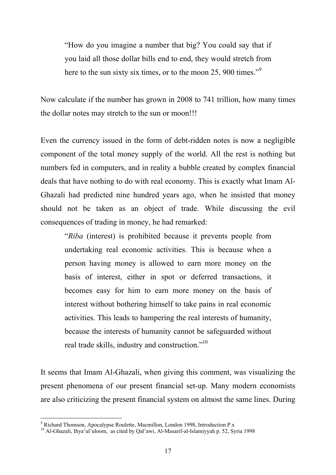"How do you imagine a number that big? You could say that if you laid all those dollar bills end to end, they would stretch from here to the sun sixty six times, or to the moon 25, 900 times."<sup>9</sup>

Now calculate if the number has grown in 2008 to 741 trillion, how many times the dollar notes may stretch to the sun or moon!!!

Even the currency issued in the form of debt-ridden notes is now a negligible component of the total money supply of the world. All the rest is nothing but numbers fed in computers, and in reality a bubble created by complex financial deals that have nothing to do with real economy. This is exactly what Imam Al-Ghazali had predicted nine hundred years ago, when he insisted that money should not be taken as an object of trade. While discussing the evil consequences of trading in money, he had remarked:

"*Riba* (interest) is prohibited because it prevents people from undertaking real economic activities. This is because when a person having money is allowed to earn more money on the basis of interest, either in spot or deferred transactions, it becomes easy for him to earn more money on the basis of interest without bothering himself to take pains in real economic activities. This leads to hampering the real interests of humanity, because the interests of humanity cannot be safeguarded without real trade skills, industry and construction."<sup>10</sup>

It seems that Imam Al-Ghazali, when giving this comment, was visualizing the present phenomena of our present financial set-up. Many modern economists are also criticizing the present financial system on almost the same lines. During

<sup>9</sup> Richard Thomson, Apocalypse Roulette, Macmillon, London 1998, Introduction P.x

<sup>&</sup>lt;sup>10</sup> Al-Ghazali, Ihya'ul'uloom, as cited by Qal'awi, Al-Masarif-al-Islamiyyah p. 52, Syria 1998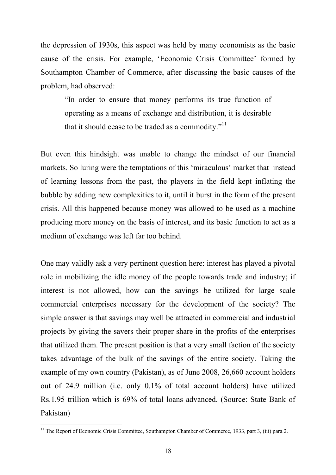the depression of 1930s, this aspect was held by many economists as the basic cause of the crisis. For example, 'Economic Crisis Committee' formed by Southampton Chamber of Commerce, after discussing the basic causes of the problem, had observed:

"In order to ensure that money performs its true function of operating as a means of exchange and distribution, it is desirable that it should cease to be traded as a commodity." $11$ 

But even this hindsight was unable to change the mindset of our financial markets. So luring were the temptations of this 'miraculous' market that instead of learning lessons from the past, the players in the field kept inflating the bubble by adding new complexities to it, until it burst in the form of the present crisis. All this happened because money was allowed to be used as a machine producing more money on the basis of interest, and its basic function to act as a medium of exchange was left far too behind.

One may validly ask a very pertinent question here: interest has played a pivotal role in mobilizing the idle money of the people towards trade and industry; if interest is not allowed, how can the savings be utilized for large scale commercial enterprises necessary for the development of the society? The simple answer is that savings may well be attracted in commercial and industrial projects by giving the savers their proper share in the profits of the enterprises that utilized them. The present position is that a very small faction of the society takes advantage of the bulk of the savings of the entire society. Taking the example of my own country (Pakistan), as of June 2008, 26,660 account holders out of 24.9 million (i.e. only 0.1% of total account holders) have utilized Rs.1.95 trillion which is 69% of total loans advanced. (Source: State Bank of Pakistan)

<sup>&</sup>lt;sup>11</sup> The Report of Economic Crisis Committee, Southampton Chamber of Commerce, 1933, part 3, (iii) para 2.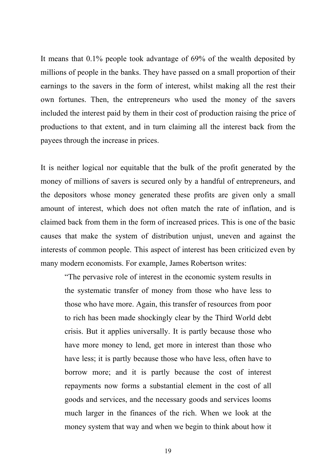It means that 0.1% people took advantage of 69% of the wealth deposited by millions of people in the banks. They have passed on a small proportion of their earnings to the savers in the form of interest, whilst making all the rest their own fortunes. Then, the entrepreneurs who used the money of the savers included the interest paid by them in their cost of production raising the price of productions to that extent, and in turn claiming all the interest back from the payees through the increase in prices.

It is neither logical nor equitable that the bulk of the profit generated by the money of millions of savers is secured only by a handful of entrepreneurs, and the depositors whose money generated these profits are given only a small amount of interest, which does not often match the rate of inflation, and is claimed back from them in the form of increased prices. This is one of the basic causes that make the system of distribution unjust, uneven and against the interests of common people. This aspect of interest has been criticized even by many modern economists. For example, James Robertson writes:

"The pervasive role of interest in the economic system results in the systematic transfer of money from those who have less to those who have more. Again, this transfer of resources from poor to rich has been made shockingly clear by the Third World debt crisis. But it applies universally. It is partly because those who have more money to lend, get more in interest than those who have less; it is partly because those who have less, often have to borrow more; and it is partly because the cost of interest repayments now forms a substantial element in the cost of all goods and services, and the necessary goods and services looms much larger in the finances of the rich. When we look at the money system that way and when we begin to think about how it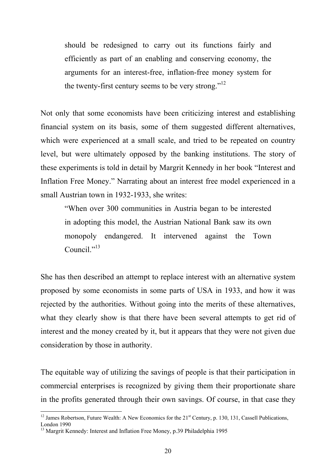should be redesigned to carry out its functions fairly and efficiently as part of an enabling and conserving economy, the arguments for an interest-free, inflation-free money system for the twenty-first century seems to be very strong."<sup>12</sup>

Not only that some economists have been criticizing interest and establishing financial system on its basis, some of them suggested different alternatives, which were experienced at a small scale, and tried to be repeated on country level, but were ultimately opposed by the banking institutions. The story of these experiments is told in detail by Margrit Kennedy in her book "Interest and Inflation Free Money." Narrating about an interest free model experienced in a small Austrian town in 1932-1933, she writes:

"When over 300 communities in Austria began to be interested in adopting this model, the Austrian National Bank saw its own monopoly endangered. It intervened against the Town Council $^{1,13}$ 

She has then described an attempt to replace interest with an alternative system proposed by some economists in some parts of USA in 1933, and how it was rejected by the authorities. Without going into the merits of these alternatives, what they clearly show is that there have been several attempts to get rid of interest and the money created by it, but it appears that they were not given due consideration by those in authority.

The equitable way of utilizing the savings of people is that their participation in commercial enterprises is recognized by giving them their proportionate share in the profits generated through their own savings. Of course, in that case they

<sup>&</sup>lt;sup>12</sup> James Robertson, Future Wealth: A New Economics for the 21<sup>st</sup> Century, p. 130, 131, Cassell Publications, London 1990

<sup>&</sup>lt;sup>13</sup> Margrit Kennedy: Interest and Inflation Free Money, p.39 Philadelphia 1995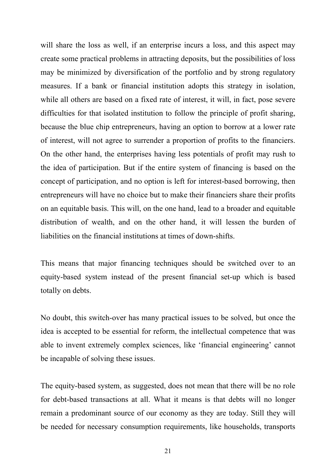will share the loss as well, if an enterprise incurs a loss, and this aspect may create some practical problems in attracting deposits, but the possibilities of loss may be minimized by diversification of the portfolio and by strong regulatory measures. If a bank or financial institution adopts this strategy in isolation, while all others are based on a fixed rate of interest, it will, in fact, pose severe difficulties for that isolated institution to follow the principle of profit sharing, because the blue chip entrepreneurs, having an option to borrow at a lower rate of interest, will not agree to surrender a proportion of profits to the financiers. On the other hand, the enterprises having less potentials of profit may rush to the idea of participation. But if the entire system of financing is based on the concept of participation, and no option is left for interest-based borrowing, then entrepreneurs will have no choice but to make their financiers share their profits on an equitable basis. This will, on the one hand, lead to a broader and equitable distribution of wealth, and on the other hand, it will lessen the burden of liabilities on the financial institutions at times of down-shifts.

This means that major financing techniques should be switched over to an equity-based system instead of the present financial set-up which is based totally on debts.

No doubt, this switch-over has many practical issues to be solved, but once the idea is accepted to be essential for reform, the intellectual competence that was able to invent extremely complex sciences, like 'financial engineering' cannot be incapable of solving these issues.

The equity-based system, as suggested, does not mean that there will be no role for debt-based transactions at all. What it means is that debts will no longer remain a predominant source of our economy as they are today. Still they will be needed for necessary consumption requirements, like households, transports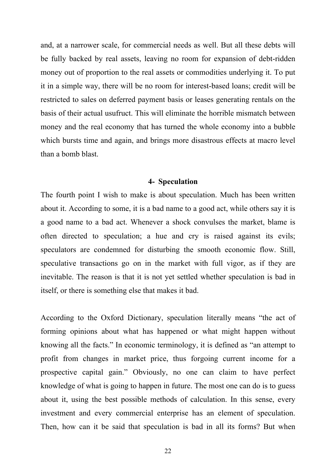and, at a narrower scale, for commercial needs as well. But all these debts will be fully backed by real assets, leaving no room for expansion of debt-ridden money out of proportion to the real assets or commodities underlying it. To put it in a simple way, there will be no room for interest-based loans; credit will be restricted to sales on deferred payment basis or leases generating rentals on the basis of their actual usufruct. This will eliminate the horrible mismatch between money and the real economy that has turned the whole economy into a bubble which bursts time and again, and brings more disastrous effects at macro level than a bomb blast.

#### **4- Speculation**

The fourth point I wish to make is about speculation. Much has been written about it. According to some, it is a bad name to a good act, while others say it is a good name to a bad act. Whenever a shock convulses the market, blame is often directed to speculation; a hue and cry is raised against its evils; speculators are condemned for disturbing the smooth economic flow. Still, speculative transactions go on in the market with full vigor, as if they are inevitable. The reason is that it is not yet settled whether speculation is bad in itself, or there is something else that makes it bad.

According to the Oxford Dictionary, speculation literally means "the act of forming opinions about what has happened or what might happen without knowing all the facts." In economic terminology, it is defined as "an attempt to profit from changes in market price, thus forgoing current income for a prospective capital gain." Obviously, no one can claim to have perfect knowledge of what is going to happen in future. The most one can do is to guess about it, using the best possible methods of calculation. In this sense, every investment and every commercial enterprise has an element of speculation. Then, how can it be said that speculation is bad in all its forms? But when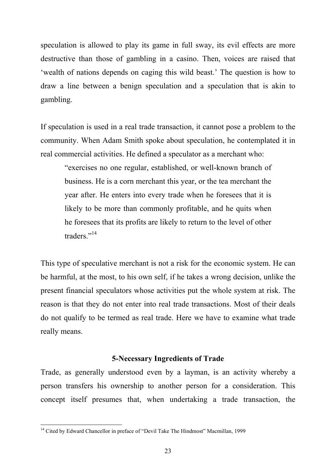speculation is allowed to play its game in full sway, its evil effects are more destructive than those of gambling in a casino. Then, voices are raised that 'wealth of nations depends on caging this wild beast.' The question is how to draw a line between a benign speculation and a speculation that is akin to gambling.

If speculation is used in a real trade transaction, it cannot pose a problem to the community. When Adam Smith spoke about speculation, he contemplated it in real commercial activities. He defined a speculator as a merchant who:

"exercises no one regular, established, or well-known branch of business. He is a corn merchant this year, or the tea merchant the year after. He enters into every trade when he foresees that it is likely to be more than commonly profitable, and he quits when he foresees that its profits are likely to return to the level of other traders<sup>"14</sup>

This type of speculative merchant is not a risk for the economic system. He can be harmful, at the most, to his own self, if he takes a wrong decision, unlike the present financial speculators whose activities put the whole system at risk. The reason is that they do not enter into real trade transactions. Most of their deals do not qualify to be termed as real trade. Here we have to examine what trade really means.

#### **5-Necessary Ingredients of Trade**

Trade, as generally understood even by a layman, is an activity whereby a person transfers his ownership to another person for a consideration. This concept itself presumes that, when undertaking a trade transaction, the

<sup>&</sup>lt;sup>14</sup> Cited by Edward Chancellor in preface of "Devil Take The Hindmost" Macmillan, 1999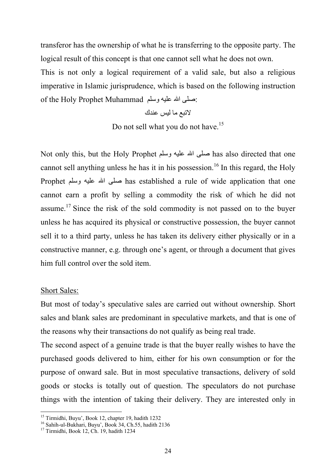transferor has the ownership of what he is transferring to the opposite party. The logical result of this concept is that one cannot sell what he does not own.

This is not only a logical requirement of a valid sale, but also a religious imperative in Islamic jurisprudence, which is based on the following instruction of the Holy Prophet Muhammad وسلم علیھ االله صلى:

لاتبع ما لیس عندك

Do not sell what you do not have.<sup>15</sup>

Not only this, but the Holy Prophet وسلم علیھ االله صلى has also directed that one cannot sell anything unless he has it in his possession.<sup>16</sup> In this regard, the Holy Prophet وسلم علیھ االله صلى has established a rule of wide application that one cannot earn a profit by selling a commodity the risk of which he did not assume.<sup>17</sup> Since the risk of the sold commodity is not passed on to the buyer unless he has acquired its physical or constructive possession, the buyer cannot sell it to a third party, unless he has taken its delivery either physically or in a constructive manner, e.g. through one's agent, or through a document that gives him full control over the sold item.

#### Short Sales:

But most of today's speculative sales are carried out without ownership. Short sales and blank sales are predominant in speculative markets, and that is one of the reasons why their transactions do not qualify as being real trade.

The second aspect of a genuine trade is that the buyer really wishes to have the purchased goods delivered to him, either for his own consumption or for the purpose of onward sale. But in most speculative transactions, delivery of sold goods or stocks is totally out of question. The speculators do not purchase things with the intention of taking their delivery. They are interested only in

<sup>15</sup> Tirmidhi, Buyu', Book 12, chapter 19, hadith 1232

<sup>16</sup> Sahih-ul-Bukhari, Buyu', Book 34, Ch.55, hadith 2136

<sup>&</sup>lt;sup>17</sup> Tirmidhi, Book 12, Ch. 19, hadith 1234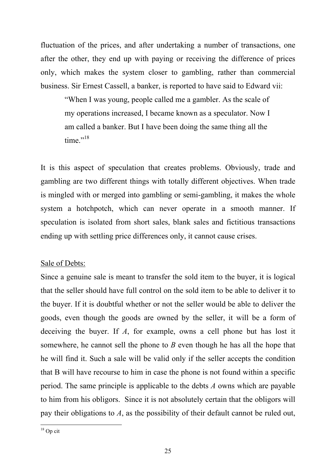fluctuation of the prices, and after undertaking a number of transactions, one after the other, they end up with paying or receiving the difference of prices only, which makes the system closer to gambling, rather than commercial business. Sir Ernest Cassell, a banker, is reported to have said to Edward vii:

"When I was young, people called me a gambler. As the scale of my operations increased, I became known as a speculator. Now I am called a banker. But I have been doing the same thing all the time."<sup>18</sup>

It is this aspect of speculation that creates problems. Obviously, trade and gambling are two different things with totally different objectives. When trade is mingled with or merged into gambling or semi-gambling, it makes the whole system a hotchpotch, which can never operate in a smooth manner. If speculation is isolated from short sales, blank sales and fictitious transactions ending up with settling price differences only, it cannot cause crises.

#### Sale of Debts:

Since a genuine sale is meant to transfer the sold item to the buyer, it is logical that the seller should have full control on the sold item to be able to deliver it to the buyer. If it is doubtful whether or not the seller would be able to deliver the goods, even though the goods are owned by the seller, it will be a form of deceiving the buyer. If *A*, for example, owns a cell phone but has lost it somewhere, he cannot sell the phone to *B* even though he has all the hope that he will find it. Such a sale will be valid only if the seller accepts the condition that B will have recourse to him in case the phone is not found within a specific period. The same principle is applicable to the debts *A* owns which are payable to him from his obligors. Since it is not absolutely certain that the obligors will pay their obligations to *A*, as the possibility of their default cannot be ruled out,

 $18$  Op cit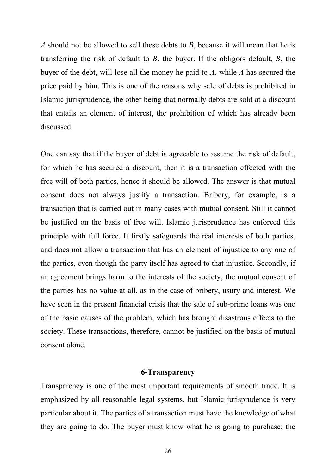*A* should not be allowed to sell these debts to *B*, because it will mean that he is transferring the risk of default to *B*, the buyer. If the obligors default, *B*, the buyer of the debt, will lose all the money he paid to *A*, while *A* has secured the price paid by him. This is one of the reasons why sale of debts is prohibited in Islamic jurisprudence, the other being that normally debts are sold at a discount that entails an element of interest, the prohibition of which has already been discussed.

One can say that if the buyer of debt is agreeable to assume the risk of default, for which he has secured a discount, then it is a transaction effected with the free will of both parties, hence it should be allowed. The answer is that mutual consent does not always justify a transaction. Bribery, for example, is a transaction that is carried out in many cases with mutual consent. Still it cannot be justified on the basis of free will. Islamic jurisprudence has enforced this principle with full force. It firstly safeguards the real interests of both parties, and does not allow a transaction that has an element of injustice to any one of the parties, even though the party itself has agreed to that injustice. Secondly, if an agreement brings harm to the interests of the society, the mutual consent of the parties has no value at all, as in the case of bribery, usury and interest. We have seen in the present financial crisis that the sale of sub-prime loans was one of the basic causes of the problem, which has brought disastrous effects to the society. These transactions, therefore, cannot be justified on the basis of mutual consent alone.

#### **6-Transparency**

Transparency is one of the most important requirements of smooth trade. It is emphasized by all reasonable legal systems, but Islamic jurisprudence is very particular about it. The parties of a transaction must have the knowledge of what they are going to do. The buyer must know what he is going to purchase; the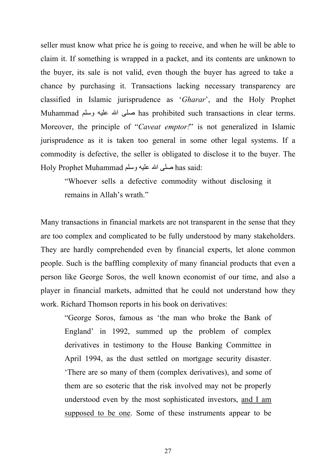seller must know what price he is going to receive, and when he will be able to claim it. If something is wrapped in a packet, and its contents are unknown to the buyer, its sale is not valid, even though the buyer has agreed to take a chance by purchasing it. Transactions lacking necessary transparency are classified in Islamic jurisprudence as '*Gharar*', and the Holy Prophet Muhammad وسلم علیھ االله صلى has prohibited such transactions in clear terms. Moreover, the principle of "*Caveat emptor!*" is not generalized in Islamic jurisprudence as it is taken too general in some other legal systems. If a commodity is defective, the seller is obligated to disclose it to the buyer. The Holy Prophet Muhammad وسلم علیھ االله صلى has said:

"Whoever sells a defective commodity without disclosing it remains in Allah's wrath."

Many transactions in financial markets are not transparent in the sense that they are too complex and complicated to be fully understood by many stakeholders. They are hardly comprehended even by financial experts, let alone common people. Such is the baffling complexity of many financial products that even a person like George Soros, the well known economist of our time, and also a player in financial markets, admitted that he could not understand how they work. Richard Thomson reports in his book on derivatives:

"George Soros, famous as 'the man who broke the Bank of England' in 1992, summed up the problem of complex derivatives in testimony to the House Banking Committee in April 1994, as the dust settled on mortgage security disaster. 'There are so many of them (complex derivatives), and some of them are so esoteric that the risk involved may not be properly understood even by the most sophisticated investors, and I am supposed to be one. Some of these instruments appear to be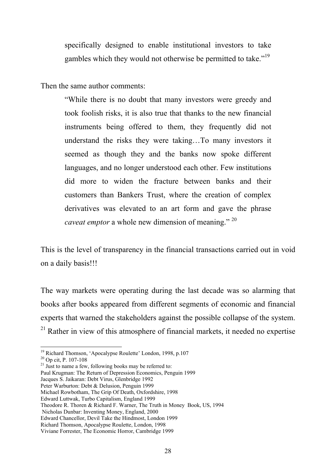specifically designed to enable institutional investors to take gambles which they would not otherwise be permitted to take."<sup>19</sup>

Then the same author comments:

"While there is no doubt that many investors were greedy and took foolish risks, it is also true that thanks to the new financial instruments being offered to them, they frequently did not understand the risks they were taking…To many investors it seemed as though they and the banks now spoke different languages, and no longer understood each other. Few institutions did more to widen the fracture between banks and their customers than Bankers Trust, where the creation of complex derivatives was elevated to an art form and gave the phrase *caveat emptor* a whole new dimension of meaning." <sup>20</sup>

This is the level of transparency in the financial transactions carried out in void on a daily basis!!!

The way markets were operating during the last decade was so alarming that books after books appeared from different segments of economic and financial experts that warned the stakeholders against the possible collapse of the system.  $21$  Rather in view of this atmosphere of financial markets, it needed no expertise

<sup>&</sup>lt;sup>19</sup> Richard Thomson, 'Apocalypse Roulette' London, 1998, p.107

<sup>20</sup> Op cit, P. 107-108

 $21$  Just to name a few, following books may be referred to: Paul Krugman: The Return of Depression Economics, Penguin 1999

Jacques S. Jaikaran: Debt Virus, Glenbridge 1992

Peter Warburton: Debt & Delusion, Penguin 1999

Michael Rowbotham, The Grip Of Death, Oxfordshire, 1998

Edward Luttwak, Turbo Capitalism, England 1999

Theodore R. Thoren & Richard F. Warner, The Truth in Money Book, US, 1994

Nicholas Dunbar: Inventing Money, England, 2000

Edward Chancellor, Devil Take the Hindmost, London 1999

Richard Thomson, Apocalypse Roulette, London, 1998

Viviane Forrester, The Economic Horror, Cambridge 1999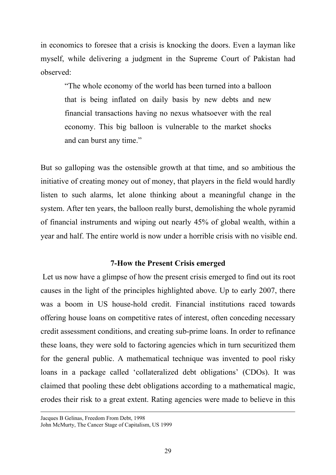in economics to foresee that a crisis is knocking the doors. Even a layman like myself, while delivering a judgment in the Supreme Court of Pakistan had observed:

"The whole economy of the world has been turned into a balloon that is being inflated on daily basis by new debts and new financial transactions having no nexus whatsoever with the real economy. This big balloon is vulnerable to the market shocks and can burst any time."

But so galloping was the ostensible growth at that time, and so ambitious the initiative of creating money out of money, that players in the field would hardly listen to such alarms, let alone thinking about a meaningful change in the system. After ten years, the balloon really burst, demolishing the whole pyramid of financial instruments and wiping out nearly 45% of global wealth, within a year and half. The entire world is now under a horrible crisis with no visible end.

#### **7-How the Present Crisis emerged**

Let us now have a glimpse of how the present crisis emerged to find out its root causes in the light of the principles highlighted above. Up to early 2007, there was a boom in US house-hold credit. Financial institutions raced towards offering house loans on competitive rates of interest, often conceding necessary credit assessment conditions, and creating sub-prime loans. In order to refinance these loans, they were sold to factoring agencies which in turn securitized them for the general public. A mathematical technique was invented to pool risky loans in a package called 'collateralized debt obligations' (CDOs). It was claimed that pooling these debt obligations according to a mathematical magic, erodes their risk to a great extent. Rating agencies were made to believe in this

Jacques B Gelinas, Freedom From Debt, 1998

John McMurty, The Cancer Stage of Capitalism, US 1999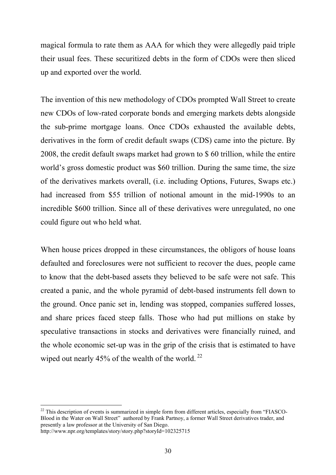magical formula to rate them as AAA for which they were allegedly paid triple their usual fees. These securitized debts in the form of CDOs were then sliced up and exported over the world.

The invention of this new methodology of CDOs prompted Wall Street to create new CDOs of low-rated corporate bonds and emerging markets debts alongside the sub-prime mortgage loans. Once CDOs exhausted the available debts, derivatives in the form of credit default swaps (CDS) came into the picture. By 2008, the credit default swaps market had grown to \$ 60 trillion, while the entire world's gross domestic product was \$60 trillion. During the same time, the size of the derivatives markets overall, (i.e. including Options, Futures, Swaps etc.) had increased from \$55 trillion of notional amount in the mid-1990s to an incredible \$600 trillion. Since all of these derivatives were unregulated, no one could figure out who held what.

When house prices dropped in these circumstances, the obligors of house loans defaulted and foreclosures were not sufficient to recover the dues, people came to know that the debt-based assets they believed to be safe were not safe. This created a panic, and the whole pyramid of debt-based instruments fell down to the ground. Once panic set in, lending was stopped, companies suffered losses, and share prices faced steep falls. Those who had put millions on stake by speculative transactions in stocks and derivatives were financially ruined, and the whole economic set-up was in the grip of the crisis that is estimated to have wiped out nearly  $45\%$  of the wealth of the world.<sup>22</sup>

<sup>&</sup>lt;sup>22</sup> This description of events is summarized in simple form from different articles, especially from "FIASCO-Blood in the Water on Wall Street" authored by Frank Partnoy, a former Wall Street derivatives trader, and presently a law professor at the University of San Diego. http://www.npr.org/templates/story/story.php?storyId=102325715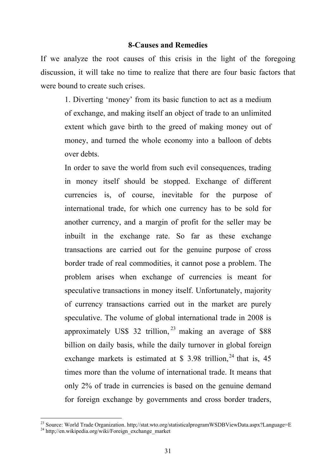#### **8-Causes and Remedies**

If we analyze the root causes of this crisis in the light of the foregoing discussion, it will take no time to realize that there are four basic factors that were bound to create such crises.

1. Diverting 'money' from its basic function to act as a medium of exchange, and making itself an object of trade to an unlimited extent which gave birth to the greed of making money out of money, and turned the whole economy into a balloon of debts over debts.

In order to save the world from such evil consequences, trading in money itself should be stopped. Exchange of different currencies is, of course, inevitable for the purpose of international trade, for which one currency has to be sold for another currency, and a margin of profit for the seller may be inbuilt in the exchange rate. So far as these exchange transactions are carried out for the genuine purpose of cross border trade of real commodities, it cannot pose a problem. The problem arises when exchange of currencies is meant for speculative transactions in money itself. Unfortunately, majority of currency transactions carried out in the market are purely speculative. The volume of global international trade in 2008 is approximately US\$ 32 trillion,  $^{23}$  making an average of \$88 billion on daily basis, while the daily turnover in global foreign exchange markets is estimated at \$ 3.98 trillion,<sup>24</sup> that is, 45 times more than the volume of international trade. It means that only 2% of trade in currencies is based on the genuine demand for foreign exchange by governments and cross border traders,

<sup>&</sup>lt;sup>23</sup> Source: World Trade Organization. http://stat.wto.org/statisticalprogramWSDBViewData.aspx?Language=E <sup>24</sup> http;//en.wikipedia.org/wiki/Foreign\_exchange\_market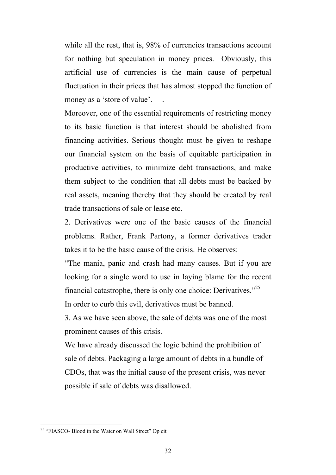while all the rest, that is, 98% of currencies transactions account for nothing but speculation in money prices. Obviously, this artificial use of currencies is the main cause of perpetual fluctuation in their prices that has almost stopped the function of money as a 'store of value'.

Moreover, one of the essential requirements of restricting money to its basic function is that interest should be abolished from financing activities. Serious thought must be given to reshape our financial system on the basis of equitable participation in productive activities, to minimize debt transactions, and make them subject to the condition that all debts must be backed by real assets, meaning thereby that they should be created by real trade transactions of sale or lease etc.

2. Derivatives were one of the basic causes of the financial problems. Rather, Frank Partony, a former derivatives trader takes it to be the basic cause of the crisis. He observes:

"The mania, panic and crash had many causes. But if you are looking for a single word to use in laying blame for the recent financial catastrophe, there is only one choice: Derivatives. $125$ In order to curb this evil, derivatives must be banned.

3. As we have seen above, the sale of debts was one of the most prominent causes of this crisis.

We have already discussed the logic behind the prohibition of sale of debts. Packaging a large amount of debts in a bundle of CDOs, that was the initial cause of the present crisis, was never possible if sale of debts was disallowed.

<sup>&</sup>lt;sup>25</sup> "FIASCO- Blood in the Water on Wall Street" Op cit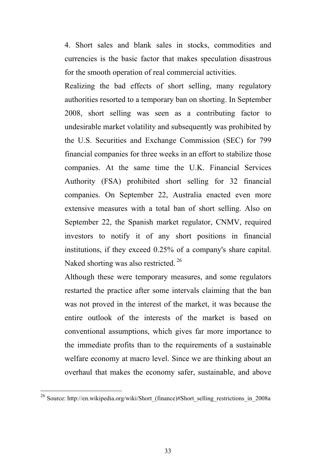4. Short sales and blank sales in stocks, commodities and currencies is the basic factor that makes speculation disastrous for the smooth operation of real commercial activities.

Realizing the bad effects of short selling, many regulatory authorities resorted to a temporary ban on shorting. In September 2008, short selling was seen as a contributing factor to undesirable market volatility and subsequently was prohibited by the U.S. Securities and Exchange Commission (SEC) for 799 financial companies for three weeks in an effort to stabilize those companies. At the same time the U.K. Financial Services Authority (FSA) prohibited short selling for 32 financial companies. On September 22, Australia enacted even more extensive measures with a total ban of short selling. Also on September 22, the Spanish market regulator, CNMV, required investors to notify it of any short positions in financial institutions, if they exceed 0.25% of a company's share capital. Naked shorting was also restricted. <sup>26</sup>

Although these were temporary measures, and some regulators restarted the practice after some intervals claiming that the ban was not proved in the interest of the market, it was because the entire outlook of the interests of the market is based on conventional assumptions, which gives far more importance to the immediate profits than to the requirements of a sustainable welfare economy at macro level. Since we are thinking about an overhaul that makes the economy safer, sustainable, and above

<sup>26</sup> Source: http://en.wikipedia.org/wiki/Short\_(finance)#Short\_selling\_restrictions\_in\_2008a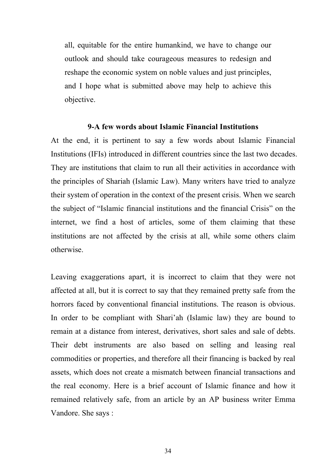all, equitable for the entire humankind, we have to change our outlook and should take courageous measures to redesign and reshape the economic system on noble values and just principles, and I hope what is submitted above may help to achieve this objective.

#### **9-A few words about Islamic Financial Institutions**

At the end, it is pertinent to say a few words about Islamic Financial Institutions (IFIs) introduced in different countries since the last two decades. They are institutions that claim to run all their activities in accordance with the principles of Shariah (Islamic Law). Many writers have tried to analyze their system of operation in the context of the present crisis. When we search the subject of "Islamic financial institutions and the financial Crisis" on the internet, we find a host of articles, some of them claiming that these institutions are not affected by the crisis at all, while some others claim otherwise.

Leaving exaggerations apart, it is incorrect to claim that they were not affected at all, but it is correct to say that they remained pretty safe from the horrors faced by conventional financial institutions. The reason is obvious. In order to be compliant with Shari'ah (Islamic law) they are bound to remain at a distance from interest, derivatives, short sales and sale of debts. Their debt instruments are also based on selling and leasing real commodities or properties, and therefore all their financing is backed by real assets, which does not create a mismatch between financial transactions and the real economy. Here is a brief account of Islamic finance and how it remained relatively safe, from an article by an AP business writer Emma Vandore. She says :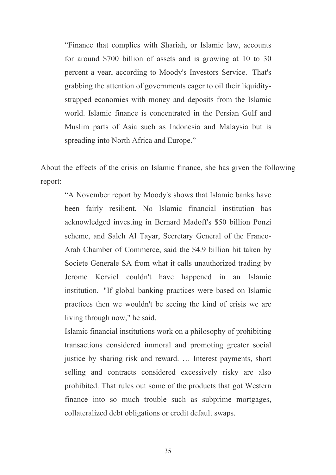"Finance that complies with Shariah, or Islamic law, accounts for around \$700 billion of assets and is growing at 10 to 30 percent a year, according to Moody's Investors Service. That's grabbing the attention of governments eager to oil their liquiditystrapped economies with money and deposits from the Islamic world. Islamic finance is concentrated in the Persian Gulf and Muslim parts of Asia such as Indonesia and Malaysia but is spreading into North Africa and Europe."

About the effects of the crisis on Islamic finance, she has given the following report:

"A November report by Moody's shows that Islamic banks have been fairly resilient. No Islamic financial institution has acknowledged investing in Bernard Madoff's \$50 billion Ponzi scheme, and Saleh Al Tayar, Secretary General of the Franco-Arab Chamber of Commerce, said the \$4.9 billion hit taken by Societe Generale SA from what it calls unauthorized trading by Jerome Kerviel couldn't have happened in an Islamic institution. "If global banking practices were based on Islamic practices then we wouldn't be seeing the kind of crisis we are living through now," he said.

Islamic financial institutions work on a philosophy of prohibiting transactions considered immoral and promoting greater social justice by sharing risk and reward. … Interest payments, short selling and contracts considered excessively risky are also prohibited. That rules out some of the products that got Western finance into so much trouble such as subprime mortgages, collateralized debt obligations or credit default swaps.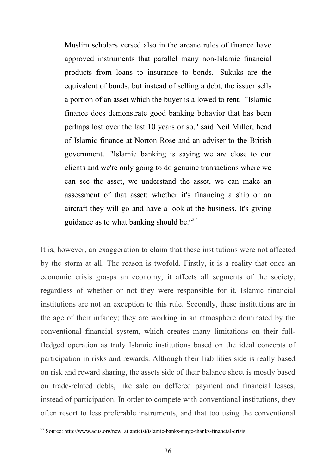Muslim scholars versed also in the arcane rules of finance have approved instruments that parallel many non-Islamic financial products from loans to insurance to bonds. Sukuks are the equivalent of bonds, but instead of selling a debt, the issuer sells a portion of an asset which the buyer is allowed to rent. "Islamic finance does demonstrate good banking behavior that has been perhaps lost over the last 10 years or so," said Neil Miller, head of Islamic finance at Norton Rose and an adviser to the British government. "Islamic banking is saying we are close to our clients and we're only going to do genuine transactions where we can see the asset, we understand the asset, we can make an assessment of that asset: whether it's financing a ship or an aircraft they will go and have a look at the business. It's giving guidance as to what banking should be." $27$ 

It is, however, an exaggeration to claim that these institutions were not affected by the storm at all. The reason is twofold. Firstly, it is a reality that once an economic crisis grasps an economy, it affects all segments of the society, regardless of whether or not they were responsible for it. Islamic financial institutions are not an exception to this rule. Secondly, these institutions are in the age of their infancy; they are working in an atmosphere dominated by the conventional financial system, which creates many limitations on their fullfledged operation as truly Islamic institutions based on the ideal concepts of participation in risks and rewards. Although their liabilities side is really based on risk and reward sharing, the assets side of their balance sheet is mostly based on trade-related debts, like sale on deffered payment and financial leases, instead of participation. In order to compete with conventional institutions, they often resort to less preferable instruments, and that too using the conventional

<sup>&</sup>lt;sup>27</sup> Source: http://www.acus.org/new\_atlanticist/islamic-banks-surge-thanks-financial-crisis